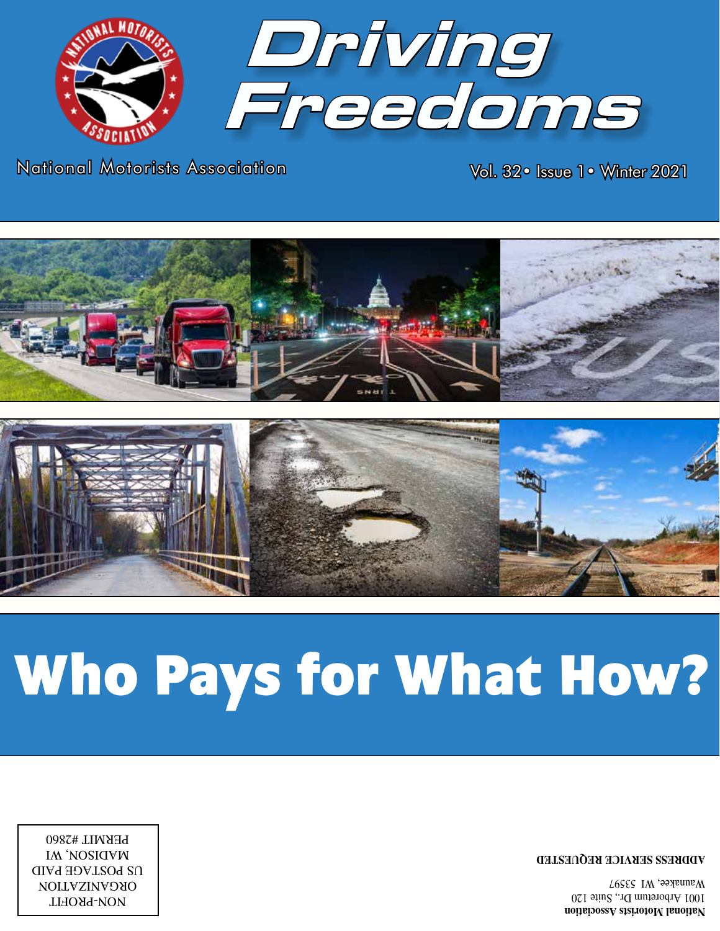

**ADDRESS SERVICE REQUESTED ADDRESS SERVICE REQUESTED**

NON-PROFIT ORGANIZATION ORGANIZATION US POSTAGE PAID US POSTAGE PAID MADISON, WI IW, *NOSIGAM* PERMIT #2860

NON-PROFIT

# **Who Pays for What How?**





National Motorists Association National Motorists Association

Vol. 32• Issue 1• Winter 2021 Vol. 32• Issue 1• Winter 2021

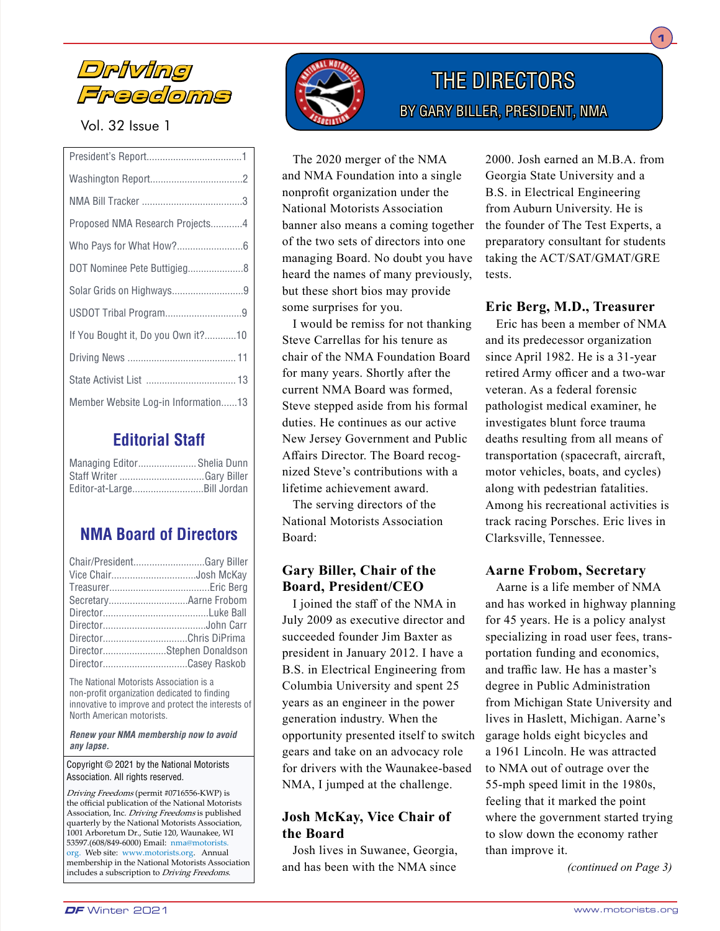

# Vol. 32 Issue 1

| Proposed NMA Research Projects4     |  |
|-------------------------------------|--|
|                                     |  |
| DOT Nominee Pete Buttigieg8         |  |
|                                     |  |
|                                     |  |
| If You Bought it, Do you Own it?10  |  |
|                                     |  |
|                                     |  |
| Member Website Log-in Information13 |  |
|                                     |  |

# **Editorial Staff**

| Managing Editor Shelia Dunn |  |
|-----------------------------|--|
|                             |  |
| Editor-at-LargeBill Jordan  |  |

# **NMA Board of Directors**

| Chair/PresidentGary Biller |  |
|----------------------------|--|
| Vice ChairJosh McKay       |  |
|                            |  |
|                            |  |
|                            |  |
|                            |  |
| DirectorChris DiPrima      |  |
| DirectorStephen Donaldson  |  |
| DirectorCasey Raskob       |  |

The National Motorists Association is a non-profit organization dedicated to finding innovative to improve and protect the interests of North American motorists.

*Renew your NMA membership now to avoid any lapse.*

#### Copyright © 2021 by the National Motorists Association. All rights reserved.

Driving Freedoms (permit #0716556-KWP) is the official publication of the National Motorists Association, Inc. *Driving Freedoms* is published quarterly by the National Motorists Association, 1001 Arboretum Dr., Sutie 120, Waunakee, WI 53597.(608/849-6000) Email: nma@motorists. org. Web site: www.motorists.org. Annual membership in the National Motorists Association includes a subscription to Driving Freedoms.



# THE DIRECTORS BY GARY BILLER, PRESIDENT, NMA

The 2020 merger of the NMA and NMA Foundation into a single nonprofit organization under the National Motorists Association banner also means a coming together of the two sets of directors into one managing Board. No doubt you have heard the names of many previously, but these short bios may provide some surprises for you.

I would be remiss for not thanking Steve Carrellas for his tenure as chair of the NMA Foundation Board for many years. Shortly after the current NMA Board was formed, Steve stepped aside from his formal duties. He continues as our active New Jersey Government and Public Affairs Director. The Board recognized Steve's contributions with a lifetime achievement award.

The serving directors of the National Motorists Association Board:

# **Gary Biller, Chair of the Board, President/CEO**

I joined the staff of the NMA in July 2009 as executive director and succeeded founder Jim Baxter as president in January 2012. I have a B.S. in Electrical Engineering from Columbia University and spent 25 years as an engineer in the power generation industry. When the opportunity presented itself to switch gears and take on an advocacy role for drivers with the Waunakee-based NMA, I jumped at the challenge.

# **Josh McKay, Vice Chair of the Board**

Josh lives in Suwanee, Georgia, and has been with the NMA since

2000. Josh earned an M.B.A. from Georgia State University and a B.S. in Electrical Engineering from Auburn University. He is the founder of The Test Experts, a preparatory consultant for students taking the ACT/SAT/GMAT/GRE tests.

**1**

# **Eric Berg, M.D., Treasurer**

Eric has been a member of NMA and its predecessor organization since April 1982. He is a 31-year retired Army officer and a two-war veteran. As a federal forensic pathologist medical examiner, he investigates blunt force trauma deaths resulting from all means of transportation (spacecraft, aircraft, motor vehicles, boats, and cycles) along with pedestrian fatalities. Among his recreational activities is track racing Porsches. Eric lives in Clarksville, Tennessee.

# **Aarne Frobom, Secretary**

Aarne is a life member of NMA and has worked in highway planning for 45 years. He is a policy analyst specializing in road user fees, transportation funding and economics, and traffic law. He has a master's degree in Public Administration from Michigan State University and lives in Haslett, Michigan. Aarne's garage holds eight bicycles and a 1961 Lincoln. He was attracted to NMA out of outrage over the 55-mph speed limit in the 1980s, feeling that it marked the point where the government started trying to slow down the economy rather than improve it.

*(continued on Page 3)*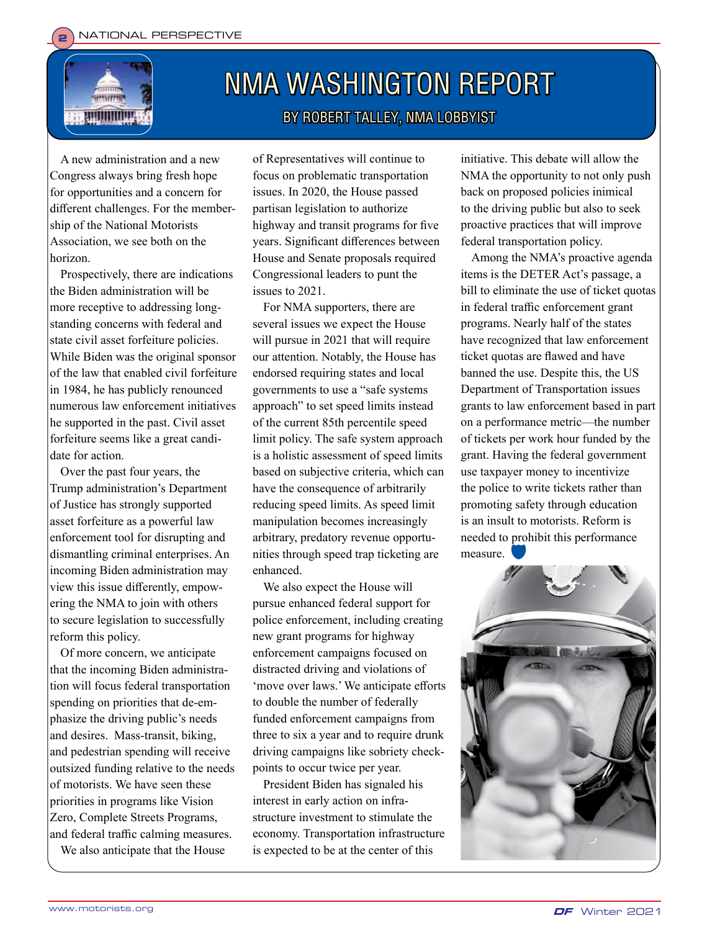

# NMA WASHINGTON REPORT BY ROBERT TALLEY, NMA LOBBYIST

A new administration and a new Congress always bring fresh hope for opportunities and a concern for different challenges. For the membership of the National Motorists Association, we see both on the horizon.

Prospectively, there are indications the Biden administration will be more receptive to addressing longstanding concerns with federal and state civil asset forfeiture policies. While Biden was the original sponsor of the law that enabled civil forfeiture in 1984, he has publicly renounced numerous law enforcement initiatives he supported in the past. Civil asset forfeiture seems like a great candidate for action.

Over the past four years, the Trump administration's Department of Justice has strongly supported asset forfeiture as a powerful law enforcement tool for disrupting and dismantling criminal enterprises. An incoming Biden administration may view this issue differently, empowering the NMA to join with others to secure legislation to successfully reform this policy.

Of more concern, we anticipate that the incoming Biden administration will focus federal transportation spending on priorities that de-emphasize the driving public's needs and desires. Mass-transit, biking, and pedestrian spending will receive outsized funding relative to the needs of motorists. We have seen these priorities in programs like Vision Zero, Complete Streets Programs, and federal traffic calming measures. We also anticipate that the House

of Representatives will continue to focus on problematic transportation issues. In 2020, the House passed partisan legislation to authorize highway and transit programs for five years. Significant differences between House and Senate proposals required Congressional leaders to punt the issues to 2021.

For NMA supporters, there are several issues we expect the House will pursue in 2021 that will require our attention. Notably, the House has endorsed requiring states and local governments to use a "safe systems approach" to set speed limits instead of the current 85th percentile speed limit policy. The safe system approach is a holistic assessment of speed limits based on subjective criteria, which can have the consequence of arbitrarily reducing speed limits. As speed limit manipulation becomes increasingly arbitrary, predatory revenue opportunities through speed trap ticketing are enhanced.

We also expect the House will pursue enhanced federal support for police enforcement, including creating new grant programs for highway enforcement campaigns focused on distracted driving and violations of 'move over laws.' We anticipate efforts to double the number of federally funded enforcement campaigns from three to six a year and to require drunk driving campaigns like sobriety checkpoints to occur twice per year.

President Biden has signaled his interest in early action on infrastructure investment to stimulate the economy. Transportation infrastructure is expected to be at the center of this

initiative. This debate will allow the NMA the opportunity to not only push back on proposed policies inimical to the driving public but also to seek proactive practices that will improve federal transportation policy.

Among the NMA's proactive agenda items is the DETER Act's passage, a bill to eliminate the use of ticket quotas in federal traffic enforcement grant programs. Nearly half of the states have recognized that law enforcement ticket quotas are flawed and have banned the use. Despite this, the US Department of Transportation issues grants to law enforcement based in part on a performance metric—the number of tickets per work hour funded by the grant. Having the federal government use taxpayer money to incentivize the police to write tickets rather than promoting safety through education is an insult to motorists. Reform is needed to prohibit this performance measure.

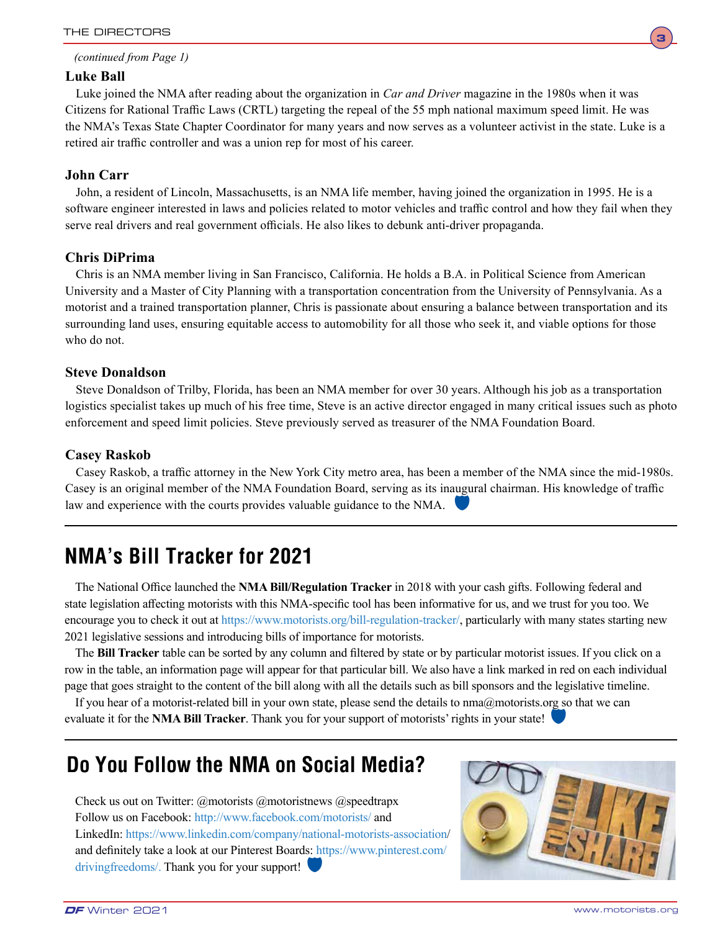

#### *(continued from Page 1)*

# **Luke Ball**

Luke joined the NMA after reading about the organization in *Car and Driver* magazine in the 1980s when it was Citizens for Rational Traffic Laws (CRTL) targeting the repeal of the 55 mph national maximum speed limit. He was the NMA's Texas State Chapter Coordinator for many years and now serves as a volunteer activist in the state. Luke is a retired air traffic controller and was a union rep for most of his career.

# **John Carr**

John, a resident of Lincoln, Massachusetts, is an NMA life member, having joined the organization in 1995. He is a software engineer interested in laws and policies related to motor vehicles and traffic control and how they fail when they serve real drivers and real government officials. He also likes to debunk anti-driver propaganda.

# **Chris DiPrima**

Chris is an NMA member living in San Francisco, California. He holds a B.A. in Political Science from American University and a Master of City Planning with a transportation concentration from the University of Pennsylvania. As a motorist and a trained transportation planner, Chris is passionate about ensuring a balance between transportation and its surrounding land uses, ensuring equitable access to automobility for all those who seek it, and viable options for those who do not.

# **Steve Donaldson**

Steve Donaldson of Trilby, Florida, has been an NMA member for over 30 years. Although his job as a transportation logistics specialist takes up much of his free time, Steve is an active director engaged in many critical issues such as photo enforcement and speed limit policies. Steve previously served as treasurer of the NMA Foundation Board.

# **Casey Raskob**

Casey Raskob, a traffic attorney in the New York City metro area, has been a member of the NMA since the mid-1980s. Casey is an original member of the NMA Foundation Board, serving as its inaugural chairman. His knowledge of traffic law and experience with the courts provides valuable guidance to the NMA.

# **NMA's Bill Tracker for 2021**

The National Office launched the **NMA Bill/Regulation Tracker** in 2018 with your cash gifts. Following federal and state legislation affecting motorists with this NMA-specific tool has been informative for us, and we trust for you too. We encourage you to check it out at https://www.motorists.org/bill-regulation-tracker/, particularly with many states starting new 2021 legislative sessions and introducing bills of importance for motorists.

The **Bill Tracker** table can be sorted by any column and filtered by state or by particular motorist issues. If you click on a row in the table, an information page will appear for that particular bill. We also have a link marked in red on each individual page that goes straight to the content of the bill along with all the details such as bill sponsors and the legislative timeline.

If you hear of a motorist-related bill in your own state, please send the details to nma@motorists.org so that we can evaluate it for the **NMA Bill Tracker**. Thank you for your support of motorists' rights in your state!

# **Do You Follow the NMA on Social Media?**

Check us out on Twitter: @motorists @motoristnews @speedtrapx Follow us on Facebook: http://www.facebook.com/motorists/ and LinkedIn: https://www.linkedin.com/company/national-motorists-association/ and definitely take a look at our Pinterest Boards: https://www.pinterest.com/ drivingfreedoms/. Thank you for your support!

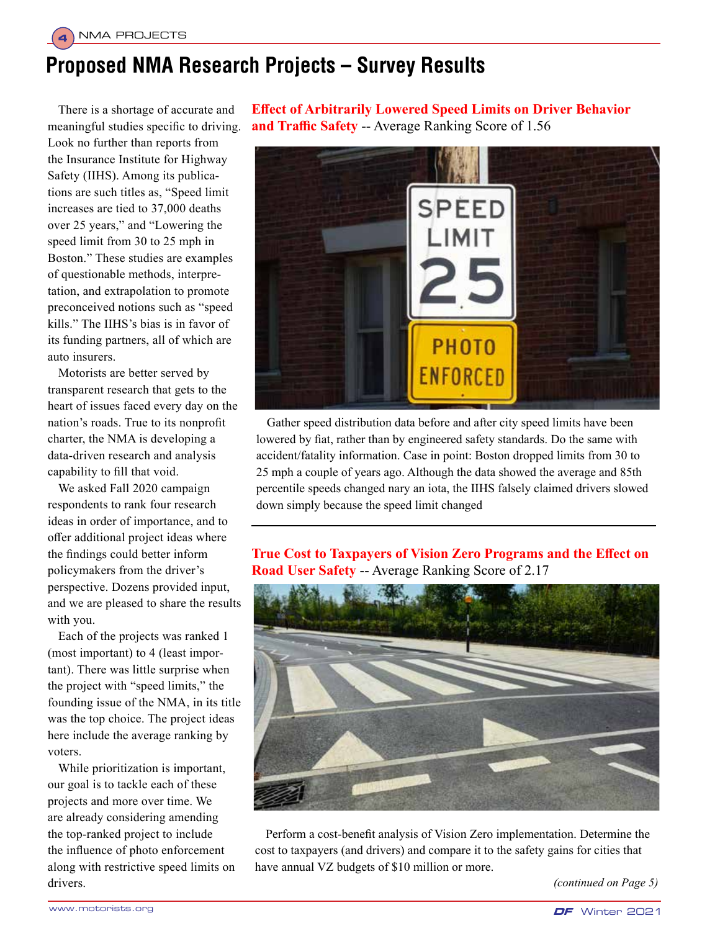**4**

# **Proposed NMA Research Projects – Survey Results**

There is a shortage of accurate and meaningful studies specific to driving. Look no further than reports from the Insurance Institute for Highway Safety (IIHS). Among its publications are such titles as, "Speed limit increases are tied to 37,000 deaths over 25 years," and "Lowering the speed limit from 30 to 25 mph in Boston." These studies are examples of questionable methods, interpretation, and extrapolation to promote preconceived notions such as "speed kills." The IIHS's bias is in favor of its funding partners, all of which are auto insurers.

Motorists are better served by transparent research that gets to the heart of issues faced every day on the nation's roads. True to its nonprofit charter, the NMA is developing a data-driven research and analysis capability to fill that void.

We asked Fall 2020 campaign respondents to rank four research ideas in order of importance, and to offer additional project ideas where the findings could better inform policymakers from the driver's perspective. Dozens provided input, and we are pleased to share the results with you.

Each of the projects was ranked 1 (most important) to 4 (least important). There was little surprise when the project with "speed limits," the founding issue of the NMA, in its title was the top choice. The project ideas here include the average ranking by voters.

While prioritization is important, our goal is to tackle each of these projects and more over time. We are already considering amending the top-ranked project to include the influence of photo enforcement along with restrictive speed limits on drivers.

**Effect of Arbitrarily Lowered Speed Limits on Driver Behavior and Traffic Safety** -- Average Ranking Score of 1.56



Gather speed distribution data before and after city speed limits have been lowered by fiat, rather than by engineered safety standards. Do the same with accident/fatality information. Case in point: Boston dropped limits from 30 to 25 mph a couple of years ago. Although the data showed the average and 85th percentile speeds changed nary an iota, the IIHS falsely claimed drivers slowed down simply because the speed limit changed

# **True Cost to Taxpayers of Vision Zero Programs and the Effect on Road User Safety** -- Average Ranking Score of 2.17



Perform a cost-benefit analysis of Vision Zero implementation. Determine the cost to taxpayers (and drivers) and compare it to the safety gains for cities that have annual VZ budgets of \$10 million or more.

*(continued on Page 5)*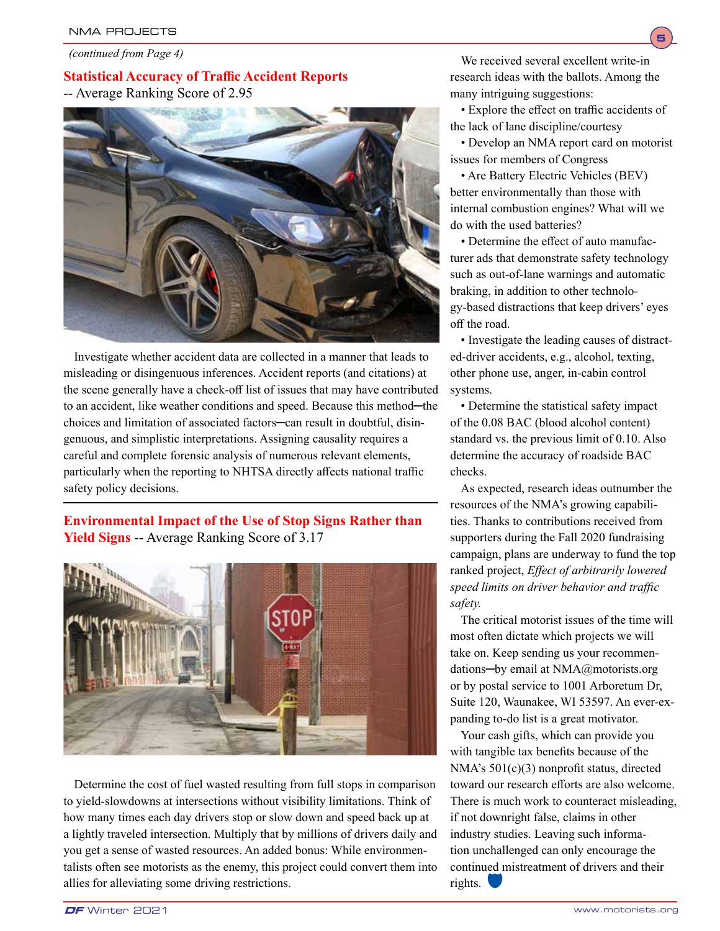*(continued from Page 4)*

# **Statistical Accuracy of Traffic Accident Reports** -- Average Ranking Score of 2.95



Investigate whether accident data are collected in a manner that leads to misleading or disingenuous inferences. Accident reports (and citations) at the scene generally have a check-off list of issues that may have contributed to an accident, like weather conditions and speed. Because this method─the choices and limitation of associated factors─can result in doubtful, disingenuous, and simplistic interpretations. Assigning causality requires a careful and complete forensic analysis of numerous relevant elements, particularly when the reporting to NHTSA directly affects national traffic safety policy decisions.

# **Environmental Impact of the Use of Stop Signs Rather than Yield Signs** -- Average Ranking Score of 3.17



Determine the cost of fuel wasted resulting from full stops in comparison to yield-slowdowns at intersections without visibility limitations. Think of how many times each day drivers stop or slow down and speed back up at a lightly traveled intersection. Multiply that by millions of drivers daily and you get a sense of wasted resources. An added bonus: While environmentalists often see motorists as the enemy, this project could convert them into allies for alleviating some driving restrictions.

We received several excellent write-in research ideas with the ballots. Among the many intriguing suggestions:

**5**

• Explore the effect on traffic accidents of the lack of lane discipline/courtesy

• Develop an NMA report card on motorist issues for members of Congress

• Are Battery Electric Vehicles (BEV) better environmentally than those with internal combustion engines? What will we do with the used batteries?

• Determine the effect of auto manufacturer ads that demonstrate safety technology such as out-of-lane warnings and automatic braking, in addition to other technology-based distractions that keep drivers' eyes off the road.

• Investigate the leading causes of distracted-driver accidents, e.g., alcohol, texting, other phone use, anger, in-cabin control systems.

• Determine the statistical safety impact of the 0.08 BAC (blood alcohol content) standard vs. the previous limit of 0.10. Also determine the accuracy of roadside BAC checks.

As expected, research ideas outnumber the resources of the NMA's growing capabilities. Thanks to contributions received from supporters during the Fall 2020 fundraising campaign, plans are underway to fund the top ranked project, *Effect of arbitrarily lowered speed limits on driver behavior and traffic safety.*

The critical motorist issues of the time will most often dictate which projects we will take on. Keep sending us your recommendations─by email at NMA@motorists.org or by postal service to 1001 Arboretum Dr, Suite 120, Waunakee, WI 53597. An ever-expanding to-do list is a great motivator.

Your cash gifts, which can provide you with tangible tax benefits because of the NMA's 501(c)(3) nonprofit status, directed toward our research efforts are also welcome. There is much work to counteract misleading, if not downright false, claims in other industry studies. Leaving such information unchallenged can only encourage the continued mistreatment of drivers and their rights.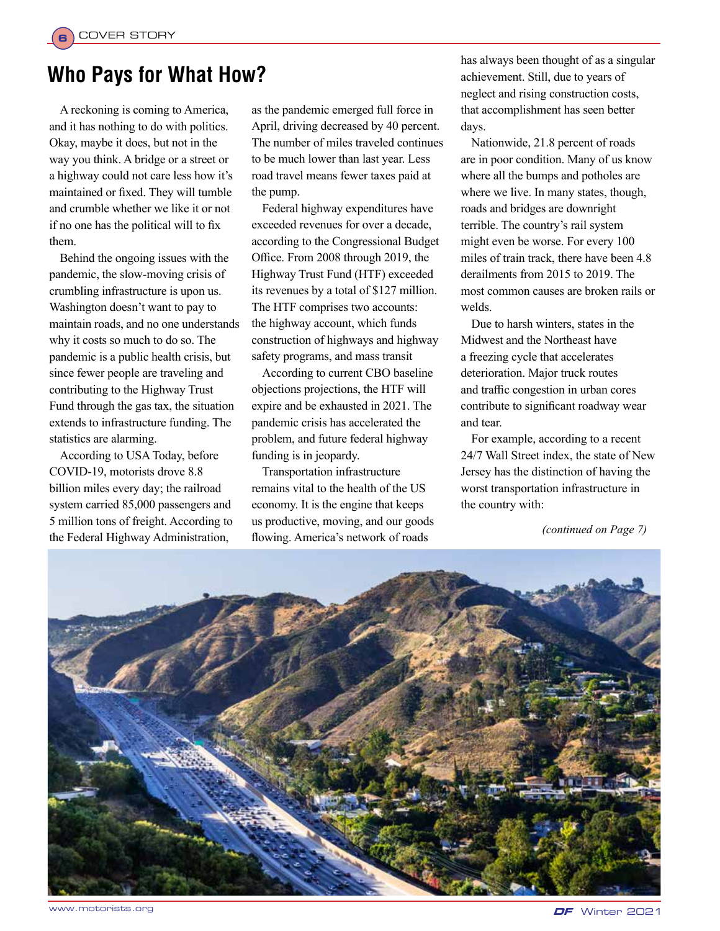**6**

# **Who Pays for What How?**

A reckoning is coming to America, and it has nothing to do with politics. Okay, maybe it does, but not in the way you think. A bridge or a street or a highway could not care less how it's maintained or fixed. They will tumble and crumble whether we like it or not if no one has the political will to fix them.

Behind the ongoing issues with the pandemic, the slow-moving crisis of crumbling infrastructure is upon us. Washington doesn't want to pay to maintain roads, and no one understands why it costs so much to do so. The pandemic is a public health crisis, but since fewer people are traveling and contributing to the Highway Trust Fund through the gas tax, the situation extends to infrastructure funding. The statistics are alarming.

According to USA Today, before COVID-19, motorists drove 8.8 billion miles every day; the railroad system carried 85,000 passengers and 5 million tons of freight. According to the Federal Highway Administration,

as the pandemic emerged full force in April, driving decreased by 40 percent. The number of miles traveled continues to be much lower than last year. Less road travel means fewer taxes paid at the pump.

Federal highway expenditures have exceeded revenues for over a decade, according to the Congressional Budget Office. From 2008 through 2019, the Highway Trust Fund (HTF) exceeded its revenues by a total of \$127 million. The HTF comprises two accounts: the highway account, which funds construction of highways and highway safety programs, and mass transit

According to current CBO baseline objections projections, the HTF will expire and be exhausted in 2021. The pandemic crisis has accelerated the problem, and future federal highway funding is in jeopardy.

Transportation infrastructure remains vital to the health of the US economy. It is the engine that keeps us productive, moving, and our goods flowing. America's network of roads

has always been thought of as a singular achievement. Still, due to years of neglect and rising construction costs, that accomplishment has seen better days.

Nationwide, 21.8 percent of roads are in poor condition. Many of us know where all the bumps and potholes are where we live. In many states, though, roads and bridges are downright terrible. The country's rail system might even be worse. For every 100 miles of train track, there have been 4.8 derailments from 2015 to 2019. The most common causes are broken rails or welds.

Due to harsh winters, states in the Midwest and the Northeast have a freezing cycle that accelerates deterioration. Major truck routes and traffic congestion in urban cores contribute to significant roadway wear and tear.

For example, according to a recent 24/7 Wall Street index, the state of New Jersey has the distinction of having the worst transportation infrastructure in the country with:

*(continued on Page 7)*

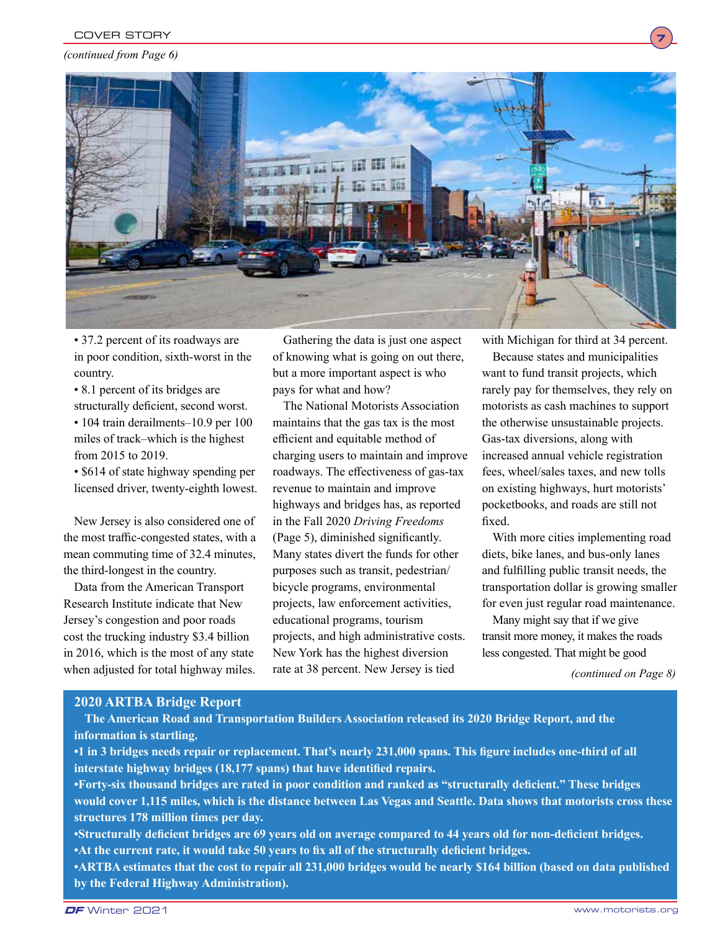#### *(continued from Page 6)*



• 37.2 percent of its roadways are in poor condition, sixth-worst in the country.

• 8.1 percent of its bridges are structurally deficient, second worst. • 104 train derailments–10.9 per 100 miles of track–which is the highest from 2015 to 2019.

• \$614 of state highway spending per licensed driver, twenty-eighth lowest.

New Jersey is also considered one of the most traffic-congested states, with a mean commuting time of 32.4 minutes, the third-longest in the country.

Data from the American Transport Research Institute indicate that New Jersey's congestion and poor roads cost the trucking industry \$3.4 billion in 2016, which is the most of any state when adjusted for total highway miles.

Gathering the data is just one aspect of knowing what is going on out there, but a more important aspect is who pays for what and how?

The National Motorists Association maintains that the gas tax is the most efficient and equitable method of charging users to maintain and improve roadways. The effectiveness of gas-tax revenue to maintain and improve highways and bridges has, as reported in the Fall 2020 *Driving Freedoms* (Page 5), diminished significantly. Many states divert the funds for other purposes such as transit, pedestrian/ bicycle programs, environmental projects, law enforcement activities, educational programs, tourism projects, and high administrative costs. New York has the highest diversion rate at 38 percent. New Jersey is tied

with Michigan for third at 34 percent.

**7**

Because states and municipalities want to fund transit projects, which rarely pay for themselves, they rely on motorists as cash machines to support the otherwise unsustainable projects. Gas-tax diversions, along with increased annual vehicle registration fees, wheel/sales taxes, and new tolls on existing highways, hurt motorists' pocketbooks, and roads are still not fixed.

With more cities implementing road diets, bike lanes, and bus-only lanes and fulfilling public transit needs, the transportation dollar is growing smaller for even just regular road maintenance.

Many might say that if we give transit more money, it makes the roads less congested. That might be good

*(continued on Page 8)*

### **2020 ARTBA Bridge Report**

**The American Road and Transportation Builders Association released its 2020 Bridge Report, and the information is startling.** 

**•1 in 3 bridges needs repair or replacement. That's nearly 231,000 spans. This figure includes one-third of all interstate highway bridges (18,177 spans) that have identified repairs.** 

**•Forty-six thousand bridges are rated in poor condition and ranked as "structurally deficient." These bridges would cover 1,115 miles, which is the distance between Las Vegas and Seattle. Data shows that motorists cross these structures 178 million times per day.**

**•Structurally deficient bridges are 69 years old on average compared to 44 years old for non-deficient bridges. •At the current rate, it would take 50 years to fix all of the structurally deficient bridges.**

**•ARTBA estimates that the cost to repair all 231,000 bridges would be nearly \$164 billion (based on data published by the Federal Highway Administration).**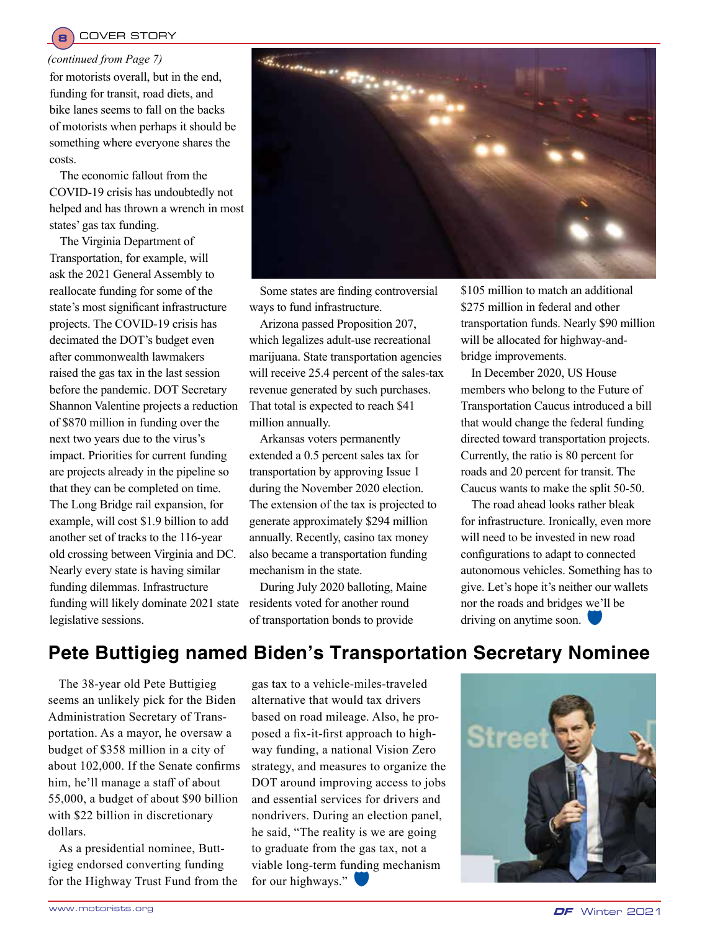# **8** COVER STORY

#### *(continued from Page 7)*

for motorists overall, but in the end, funding for transit, road diets, and bike lanes seems to fall on the backs of motorists when perhaps it should be something where everyone shares the costs.

The economic fallout from the COVID-19 crisis has undoubtedly not helped and has thrown a wrench in most states' gas tax funding.

The Virginia Department of Transportation, for example, will ask the 2021 General Assembly to reallocate funding for some of the state's most significant infrastructure projects. The COVID-19 crisis has decimated the DOT's budget even after commonwealth lawmakers raised the gas tax in the last session before the pandemic. DOT Secretary Shannon Valentine projects a reduction of \$870 million in funding over the next two years due to the virus's impact. Priorities for current funding are projects already in the pipeline so that they can be completed on time. The Long Bridge rail expansion, for example, will cost \$1.9 billion to add another set of tracks to the 116-year old crossing between Virginia and DC. Nearly every state is having similar funding dilemmas. Infrastructure funding will likely dominate 2021 state legislative sessions.



Some states are finding controversial ways to fund infrastructure.

Arizona passed Proposition 207, which legalizes adult-use recreational marijuana. State transportation agencies will receive 25.4 percent of the sales-tax revenue generated by such purchases. That total is expected to reach \$41 million annually.

Arkansas voters permanently extended a 0.5 percent sales tax for transportation by approving Issue 1 during the November 2020 election. The extension of the tax is projected to generate approximately \$294 million annually. Recently, casino tax money also became a transportation funding mechanism in the state.

During July 2020 balloting, Maine residents voted for another round of transportation bonds to provide

\$105 million to match an additional \$275 million in federal and other transportation funds. Nearly \$90 million will be allocated for highway-andbridge improvements.

In December 2020, US House members who belong to the Future of Transportation Caucus introduced a bill that would change the federal funding directed toward transportation projects. Currently, the ratio is 80 percent for roads and 20 percent for transit. The Caucus wants to make the split 50-50.

The road ahead looks rather bleak for infrastructure. Ironically, even more will need to be invested in new road configurations to adapt to connected autonomous vehicles. Something has to give. Let's hope it's neither our wallets nor the roads and bridges we'll be driving on anytime soon.

# **Pete Buttigieg named Biden's Transportation Secretary Nominee**

The 38-year old Pete Buttigieg seems an unlikely pick for the Biden Administration Secretary of Transportation. As a mayor, he oversaw a budget of \$358 million in a city of about 102,000. If the Senate confirms him, he'll manage a staff of about 55,000, a budget of about \$90 billion with \$22 billion in discretionary dollars.

As a presidential nominee, Buttigieg endorsed converting funding for the Highway Trust Fund from the gas tax to a vehicle-miles-traveled alternative that would tax drivers based on road mileage. Also, he proposed a fix-it-first approach to highway funding, a national Vision Zero strategy, and measures to organize the DOT around improving access to jobs and essential services for drivers and nondrivers. During an election panel, he said, "The reality is we are going to graduate from the gas tax, not a viable long-term funding mechanism for our highways." $\blacksquare$ 

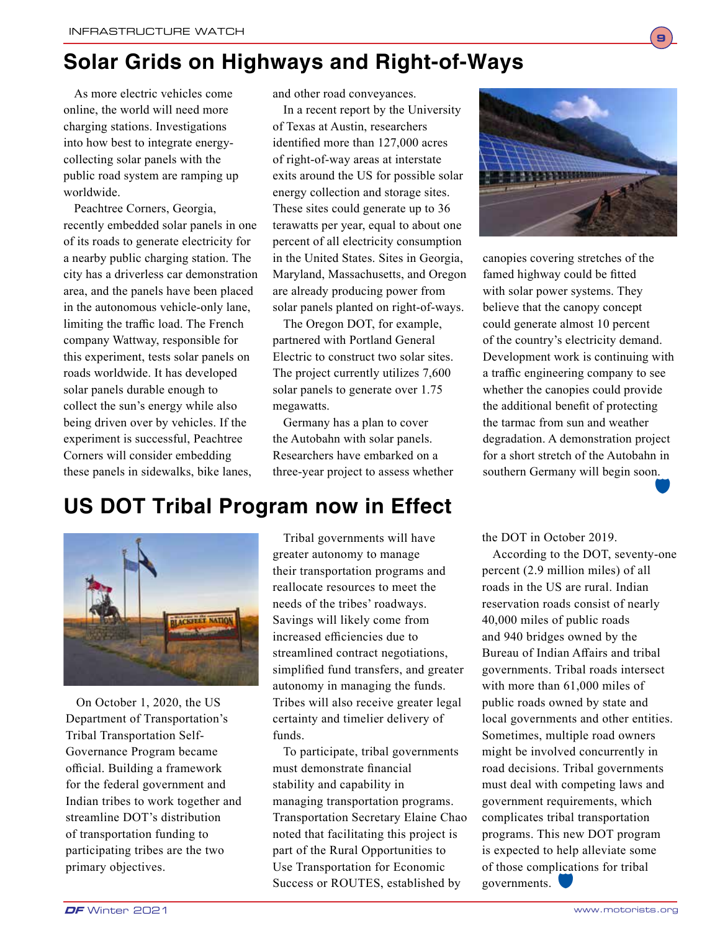# **Solar Grids on Highways and Right-of-Ways**

As more electric vehicles come online, the world will need more charging stations. Investigations into how best to integrate energycollecting solar panels with the public road system are ramping up worldwide.

Peachtree Corners, Georgia, recently embedded solar panels in one of its roads to generate electricity for a nearby public charging station. The city has a driverless car demonstration area, and the panels have been placed in the autonomous vehicle-only lane, limiting the traffic load. The French company Wattway, responsible for this experiment, tests solar panels on roads worldwide. It has developed solar panels durable enough to collect the sun's energy while also being driven over by vehicles. If the experiment is successful, Peachtree Corners will consider embedding these panels in sidewalks, bike lanes,

and other road conveyances.

In a recent report by the University of Texas at Austin, researchers identified more than 127,000 acres of right-of-way areas at interstate exits around the US for possible solar energy collection and storage sites. These sites could generate up to 36 terawatts per year, equal to about one percent of all electricity consumption in the United States. Sites in Georgia, Maryland, Massachusetts, and Oregon are already producing power from solar panels planted on right-of-ways.

The Oregon DOT, for example, partnered with Portland General Electric to construct two solar sites. The project currently utilizes 7,600 solar panels to generate over 1.75 megawatts.

Germany has a plan to cover the Autobahn with solar panels. Researchers have embarked on a three-year project to assess whether



**9**

canopies covering stretches of the famed highway could be fitted with solar power systems. They believe that the canopy concept could generate almost 10 percent of the country's electricity demand. Development work is continuing with a traffic engineering company to see whether the canopies could provide the additional benefit of protecting the tarmac from sun and weather degradation. A demonstration project for a short stretch of the Autobahn in southern Germany will begin soon. de la company de la company de la company de la company de la company de la company de la company de la company de la company de la company de la company de la company de la company de la company de la company de la compan

# **US DOT Tribal Program now in Effect**



On October 1, 2020, the US Department of Transportation's Tribal Transportation Self-Governance Program became official. Building a framework for the federal government and Indian tribes to work together and streamline DOT's distribution of transportation funding to participating tribes are the two primary objectives.

Tribal governments will have greater autonomy to manage their transportation programs and reallocate resources to meet the needs of the tribes' roadways. Savings will likely come from increased efficiencies due to streamlined contract negotiations, simplified fund transfers, and greater autonomy in managing the funds. Tribes will also receive greater legal certainty and timelier delivery of funds.

To participate, tribal governments must demonstrate financial stability and capability in managing transportation programs. Transportation Secretary Elaine Chao noted that facilitating this project is part of the Rural Opportunities to Use Transportation for Economic Success or ROUTES, established by

the DOT in October 2019.

According to the DOT, seventy-one percent (2.9 million miles) of all roads in the US are rural. Indian reservation roads consist of nearly 40,000 miles of public roads and 940 bridges owned by the Bureau of Indian Affairs and tribal governments. Tribal roads intersect with more than 61,000 miles of public roads owned by state and local governments and other entities. Sometimes, multiple road owners might be involved concurrently in road decisions. Tribal governments must deal with competing laws and government requirements, which complicates tribal transportation programs. This new DOT program is expected to help alleviate some of those complications for tribal governments.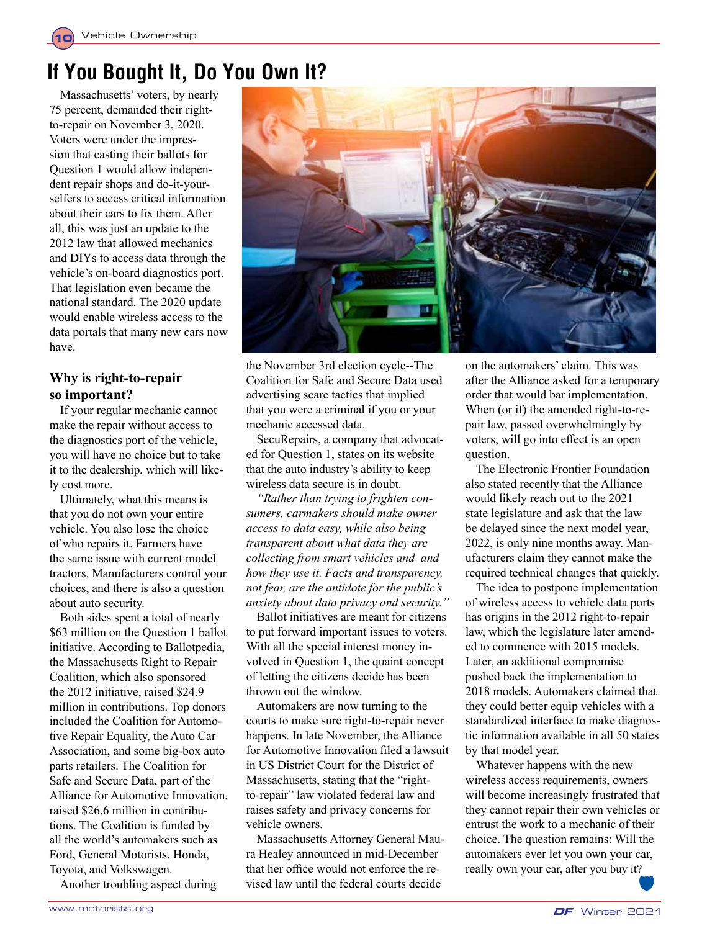# **If You Bought It, Do You Own It?**

Massachusetts' voters, by nearly 75 percent, demanded their rightto-repair on November 3, 2020. Voters were under the impression that casting their ballots for Question 1 would allow independent repair shops and do-it-yourselfers to access critical information about their cars to fix them. After all, this was just an update to the 2012 law that allowed mechanics and DIYs to access data through the vehicle's on-board diagnostics port. That legislation even became the national standard. The 2020 update would enable wireless access to the data portals that many new cars now have.

# **Why is right-to-repair so important?**

If your regular mechanic cannot make the repair without access to the diagnostics port of the vehicle, you will have no choice but to take it to the dealership, which will likely cost more.

Ultimately, what this means is that you do not own your entire vehicle. You also lose the choice of who repairs it. Farmers have the same issue with current model tractors. Manufacturers control your choices, and there is also a question about auto security.

Both sides spent a total of nearly \$63 million on the Question 1 ballot initiative. According to Ballotpedia, the Massachusetts Right to Repair Coalition, which also sponsored the 2012 initiative, raised \$24.9 million in contributions. Top donors included the Coalition for Automotive Repair Equality, the Auto Car Association, and some big-box auto parts retailers. The Coalition for Safe and Secure Data, part of the Alliance for Automotive Innovation, raised \$26.6 million in contributions. The Coalition is funded by all the world's automakers such as Ford, General Motorists, Honda, Toyota, and Volkswagen.

Another troubling aspect during



the November 3rd election cycle--The Coalition for Safe and Secure Data used advertising scare tactics that implied that you were a criminal if you or your mechanic accessed data.

SecuRepairs, a company that advocated for Question 1, states on its website that the auto industry's ability to keep wireless data secure is in doubt.

*"Rather than trying to frighten consumers, carmakers should make owner access to data easy, while also being transparent about what data they are collecting from smart vehicles and and how they use it. Facts and transparency, not fear, are the antidote for the public's anxiety about data privacy and security."*

Ballot initiatives are meant for citizens to put forward important issues to voters. With all the special interest money involved in Question 1, the quaint concept of letting the citizens decide has been thrown out the window.

Automakers are now turning to the courts to make sure right-to-repair never happens. In late November, the Alliance for Automotive Innovation filed a lawsuit in US District Court for the District of Massachusetts, stating that the "rightto-repair" law violated federal law and raises safety and privacy concerns for vehicle owners.

Massachusetts Attorney General Maura Healey announced in mid-December that her office would not enforce the revised law until the federal courts decide

on the automakers' claim. This was after the Alliance asked for a temporary order that would bar implementation. When (or if) the amended right-to-repair law, passed overwhelmingly by voters, will go into effect is an open question.

The Electronic Frontier Foundation also stated recently that the Alliance would likely reach out to the 2021 state legislature and ask that the law be delayed since the next model year, 2022, is only nine months away. Manufacturers claim they cannot make the required technical changes that quickly.

The idea to postpone implementation of wireless access to vehicle data ports has origins in the 2012 right-to-repair law, which the legislature later amended to commence with 2015 models. Later, an additional compromise pushed back the implementation to 2018 models. Automakers claimed that they could better equip vehicles with a standardized interface to make diagnostic information available in all 50 states by that model year.

Whatever happens with the new wireless access requirements, owners will become increasingly frustrated that they cannot repair their own vehicles or entrust the work to a mechanic of their choice. The question remains: Will the automakers ever let you own your car, really own your car, after you buy it?  $\sum_{i=1}^{n}$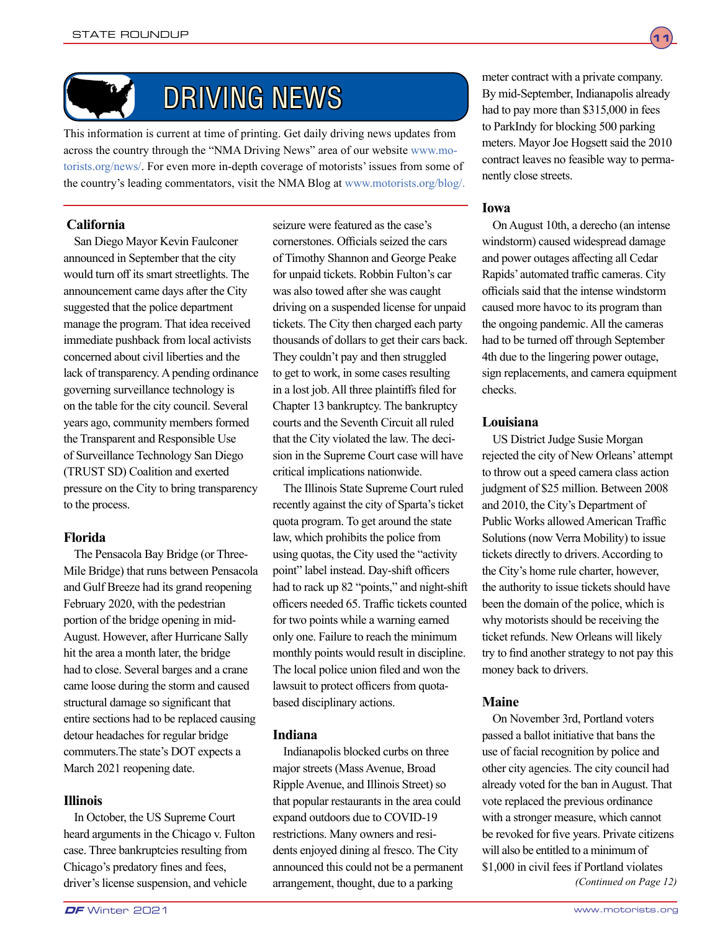

# DRIVING NEWS

This information is current at time of printing. Get daily driving news updates from across the country through the "NMA Driving News" area of our website www.motorists.org/news/. For even more in-depth coverage of motorists' issues from some of the country's leading commentators, visit the NMA Blog at www.motorists.org/blog/.

# **California**

San Diego Mayor Kevin Faulconer announced in September that the city would turn off its smart streetlights. The announcement came days after the City suggested that the police department manage the program. That idea received immediate pushback from local activists concerned about civil liberties and the lack of transparency. A pending ordinance governing surveillance technology is on the table for the city council. Several years ago, community members formed the Transparent and Responsible Use of Surveillance Technology San Diego (TRUST SD) Coalition and exerted pressure on the City to bring transparency to the process.

# **Florida**

The Pensacola Bay Bridge (or Three-Mile Bridge) that runs between Pensacola and Gulf Breeze had its grand reopening February 2020, with the pedestrian portion of the bridge opening in mid-August. However, after Hurricane Sally hit the area a month later, the bridge had to close. Several barges and a crane came loose during the storm and caused structural damage so significant that entire sections had to be replaced causing detour headaches for regular bridge commuters.The state's DOT expects a March 2021 reopening date.

# **Illinois**

In October, the US Supreme Court heard arguments in the Chicago v. Fulton case. Three bankruptcies resulting from Chicago's predatory fines and fees, driver's license suspension, and vehicle arrangement, thought, due to a parking (Continued on Page 12)

seizure were featured as the case's cornerstones. Officials seized the cars of Timothy Shannon and George Peake for unpaid tickets. Robbin Fulton's car was also towed after she was caught driving on a suspended license for unpaid tickets. The City then charged each party thousands of dollars to get their cars back. They couldn't pay and then struggled to get to work, in some cases resulting in a lost job. All three plaintiffs filed for Chapter 13 bankruptcy. The bankruptcy courts and the Seventh Circuit all ruled that the City violated the law. The decision in the Supreme Court case will have critical implications nationwide.

The Illinois State Supreme Court ruled recently against the city of Sparta's ticket quota program. To get around the state law, which prohibits the police from using quotas, the City used the "activity point" label instead. Day-shift officers had to rack up 82 "points," and night-shift officers needed 65. Traffic tickets counted for two points while a warning earned only one. Failure to reach the minimum monthly points would result in discipline. The local police union filed and won the lawsuit to protect officers from quotabased disciplinary actions.

# **Indiana**

Indianapolis blocked curbs on three major streets (Mass Avenue, Broad Ripple Avenue, and Illinois Street) so that popular restaurants in the area could expand outdoors due to COVID-19 restrictions. Many owners and residents enjoyed dining al fresco. The City announced this could not be a permanent arrangement, thought, due to a parking

meter contract with a private company. By mid-September, Indianapolis already had to pay more than \$315,000 in fees to ParkIndy for blocking 500 parking meters. Mayor Joe Hogsett said the 2010 contract leaves no feasible way to permanently close streets.

# **Iowa**

On August 10th, a derecho (an intense windstorm) caused widespread damage and power outages affecting all Cedar Rapids' automated traffic cameras. City officials said that the intense windstorm caused more havoc to its program than the ongoing pandemic. All the cameras had to be turned off through September 4th due to the lingering power outage, sign replacements, and camera equipment checks.

# **Louisiana**

US District Judge Susie Morgan rejected the city of New Orleans' attempt to throw out a speed camera class action judgment of \$25 million. Between 2008 and 2010, the City's Department of Public Works allowed American Traffic Solutions (now Verra Mobility) to issue tickets directly to drivers. According to the City's home rule charter, however, the authority to issue tickets should have been the domain of the police, which is why motorists should be receiving the ticket refunds. New Orleans will likely try to find another strategy to not pay this money back to drivers.

# **Maine**

On November 3rd, Portland voters passed a ballot initiative that bans the use of facial recognition by police and other city agencies. The city council had already voted for the ban in August. That vote replaced the previous ordinance with a stronger measure, which cannot be revoked for five years. Private citizens will also be entitled to a minimum of \$1,000 in civil fees if Portland violates